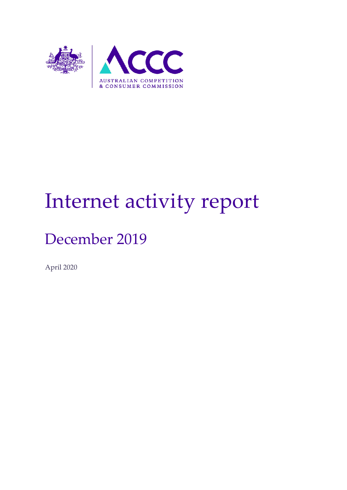

# Internet activity report

# December 2019

April 2020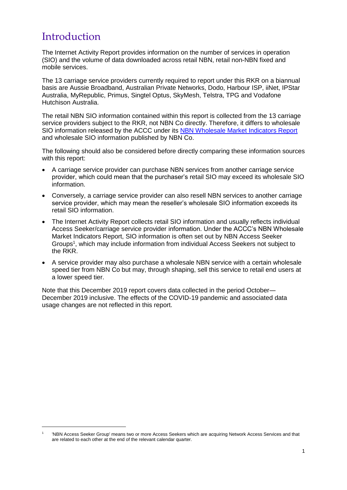### Introduction

-

The Internet Activity Report provides information on the number of services in operation (SIO) and the volume of data downloaded across retail NBN, retail non-NBN fixed and mobile services.

The 13 carriage service providers currently required to report under this RKR on a biannual basis are Aussie Broadband, Australian Private Networks, Dodo, Harbour ISP, iiNet, IPStar Australia, MyRepublic, Primus, Singtel Optus, SkyMesh, Telstra, TPG and Vodafone Hutchison Australia.

The retail NBN SIO information contained within this report is collected from the 13 carriage service providers subject to the RKR, not NBN Co directly. Therefore, it differs to wholesale SIO information released by the ACCC under its [NBN Wholesale Market Indicators Report](https://www.accc.gov.au/regulated-infrastructure/communications/national-broadband-network-nbn/nbn-wholesale-market-indicators-report/december-quarter-2019-report) and wholesale SIO information published by NBN Co.

The following should also be considered before directly comparing these information sources with this report:

- A carriage service provider can purchase NBN services from another carriage service provider, which could mean that the purchaser's retail SIO may exceed its wholesale SIO information.
- Conversely, a carriage service provider can also resell NBN services to another carriage service provider, which may mean the reseller's wholesale SIO information exceeds its retail SIO information.
- The Internet Activity Report collects retail SIO information and usually reflects individual Access Seeker/carriage service provider information. Under the ACCC's NBN Wholesale Market Indicators Report, SIO information is often set out by NBN Access Seeker Groups<sup>1</sup>, which may include information from individual Access Seekers not subject to the RKR.
- A service provider may also purchase a wholesale NBN service with a certain wholesale speed tier from NBN Co but may, through shaping, sell this service to retail end users at a lower speed tier.

Note that this December 2019 report covers data collected in the period October― December 2019 inclusive. The effects of the COVID-19 pandemic and associated data usage changes are not reflected in this report.

<sup>1</sup> 'NBN Access Seeker Group' means two or more Access Seekers which are acquiring Network Access Services and that are related to each other at the end of the relevant calendar quarter.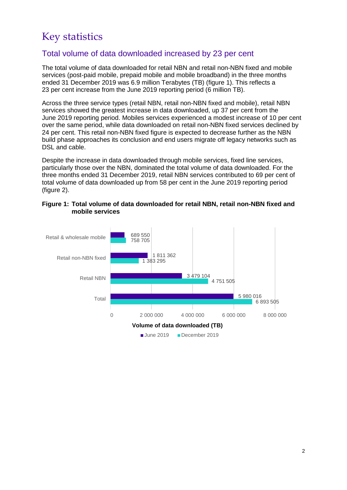## Key statistics

#### Total volume of data downloaded increased by 23 per cent

The total volume of data downloaded for retail NBN and retail non-NBN fixed and mobile services (post-paid mobile, prepaid mobile and mobile broadband) in the three months ended 31 December 2019 was 6.9 million Terabytes (TB) (figure 1). This reflects a 23 per cent increase from the June 2019 reporting period (6 million TB).

Across the three service types (retail NBN, retail non-NBN fixed and mobile), retail NBN services showed the greatest increase in data downloaded, up 37 per cent from the June 2019 reporting period. Mobiles services experienced a modest increase of 10 per cent over the same period, while data downloaded on retail non-NBN fixed services declined by 24 per cent. This retail non-NBN fixed figure is expected to decrease further as the NBN build phase approaches its conclusion and end users migrate off legacy networks such as DSL and cable.

Despite the increase in data downloaded through mobile services, fixed line services, particularly those over the NBN, dominated the total volume of data downloaded. For the three months ended 31 December 2019, retail NBN services contributed to 69 per cent of total volume of data downloaded up from 58 per cent in the June 2019 reporting period (figure 2).

#### **Figure 1: Total volume of data downloaded for retail NBN, retail non-NBN fixed and mobile services**

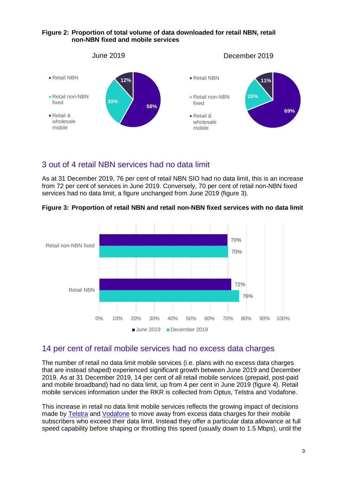#### **Figure 2: Proportion of total volume of data downloaded for retail NBN, retail non-NBN fixed and mobile services**



#### 3 out of 4 retail NBN services had no data limit

As at 31 December 2019, 76 per cent of retail NBN SIO had no data limit, this is an increase from 72 per cent of services in June 2019. Conversely, 70 per cent of retail non-NBN fixed services had no data limit, a figure unchanged from June 2019 (figure 3).





#### 14 per cent of retail mobile services had no excess data charges

The number of retail no data limit mobile services (i.e. plans with no excess data charges that are instead shaped) experienced significant growth between June 2019 and December 2019. As at 31 December 2019, 14 per cent of all retail mobile services (prepaid, post-paid and mobile broadband) had no data limit, up from 4 per cent in June 2019 (figure 4). Retail mobile services information under the RKR is collected from Optus, Telstra and Vodafone.

This increase in retail no data limit mobile services reflects the growing impact of decisions made by [Telstra](https://exchange.telstra.com.au/goodbye-excess-data-charges/) and [Vodafone](https://www.vodafone.com.au/media/vodafone-launches-unlimited-mobile-data-plans) to move away from excess data charges for their mobile subscribers who exceed their data limit. Instead they offer a particular data allowance at full speed capability before shaping or throttling this speed (usually down to 1.5 Mbps), until the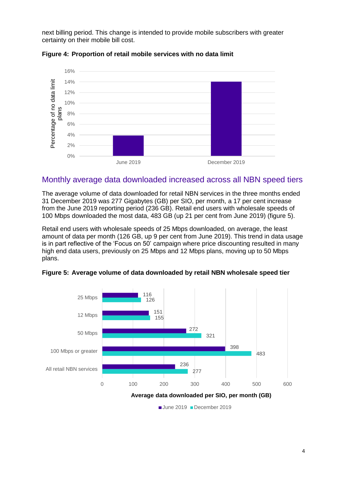next billing period. This change is intended to provide mobile subscribers with greater certainty on their mobile bill cost.



**Figure 4: Proportion of retail mobile services with no data limit** 

#### Monthly average data downloaded increased across all NBN speed tiers

The average volume of data downloaded for retail NBN services in the three months ended 31 December 2019 was 277 Gigabytes (GB) per SIO, per month, a 17 per cent increase from the June 2019 reporting period (236 GB). Retail end users with wholesale speeds of 100 Mbps downloaded the most data, 483 GB (up 21 per cent from June 2019) (figure 5).

Retail end users with wholesale speeds of 25 Mbps downloaded, on average, the least amount of data per month (126 GB, up 9 per cent from June 2019). This trend in data usage is in part reflective of the 'Focus on 50' campaign where price discounting resulted in many high end data users, previously on 25 Mbps and 12 Mbps plans, moving up to 50 Mbps plans.



**Figure 5: Average volume of data downloaded by retail NBN wholesale speed tier**

June 2019 December 2019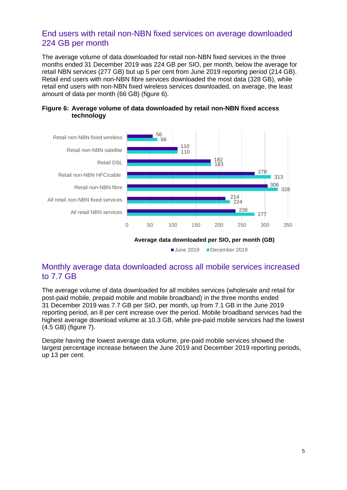#### End users with retail non-NBN fixed services on average downloaded 224 GB per month

The average volume of data downloaded for retail non-NBN fixed services in the three months ended 31 December 2019 was 224 GB per SIO, per month, below the average for retail NBN services (277 GB) but up 5 per cent from June 2019 reporting period (214 GB). Retail end users with non-NBN fibre services downloaded the most data (328 GB), while retail end users with non-NBN fixed wireless services downloaded, on average, the least amount of data per month (66 GB) (figure 6).





#### Monthly average data downloaded across all mobile services increased to 7.7 GB

The average volume of data downloaded for all mobiles services (wholesale and retail for post-paid mobile, prepaid mobile and mobile broadband) in the three months ended 31 December 2019 was 7.7 GB per SIO, per month, up from 7.1 GB in the June 2019 reporting period, an 8 per cent increase over the period. Mobile broadband services had the highest average download volume at 10.3 GB, while pre-paid mobile services had the lowest (4.5 GB) (figure 7).

Despite having the lowest average data volume, pre-paid mobile services showed the largest percentage increase between the June 2019 and December 2019 reporting periods, up 13 per cent.